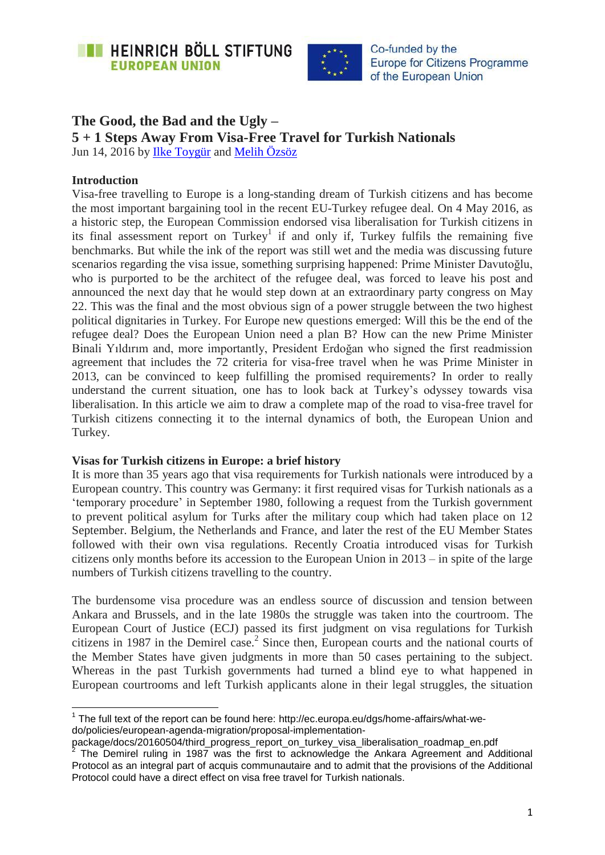



# **The Good, the Bad and the Ugly –**

**5 + 1 Steps Away From Visa-Free Travel for Turkish Nationals**

Jun 14, 2016 by [Ilke Toygür](https://eu.boell.org/en/person/ilke-toygur) and [Melih Özsöz](https://eu.boell.org/en/person/melih-ozsoz)

## **Introduction**

 $\overline{\phantom{a}}$ 

Visa-free travelling to Europe is a long-standing dream of Turkish citizens and has become the most important bargaining tool in the recent EU-Turkey refugee deal. On 4 May 2016, as a historic step, the European Commission endorsed visa liberalisation for Turkish citizens in its final assessment report on Turkey<sup>1</sup> if and only if, Turkey fulfils the remaining five benchmarks. But while the ink of the report was still wet and the media was discussing future scenarios regarding the visa issue, something surprising happened: Prime Minister Davutoğlu, who is purported to be the architect of the refugee deal, was forced to leave his post and announced the next day that he would step down at an extraordinary party congress on May 22. This was the final and the most obvious sign of a power struggle between the two highest political dignitaries in Turkey. For Europe new questions emerged: Will this be the end of the refugee deal? Does the European Union need a plan B? How can the new Prime Minister Binali Yıldırım and, more importantly, President Erdoğan who signed the first readmission agreement that includes the 72 criteria for visa-free travel when he was Prime Minister in 2013, can be convinced to keep fulfilling the promised requirements? In order to really understand the current situation, one has to look back at Turkey's odyssey towards visa liberalisation. In this article we aim to draw a complete map of the road to visa-free travel for Turkish citizens connecting it to the internal dynamics of both, the European Union and Turkey.

#### **Visas for Turkish citizens in Europe: a brief history**

It is more than 35 years ago that visa requirements for Turkish nationals were introduced by a European country. This country was Germany: it first required visas for Turkish nationals as a 'temporary procedure' in September 1980, following a request from the Turkish government to prevent political asylum for Turks after the military coup which had taken place on 12 September. Belgium, the Netherlands and France, and later the rest of the EU Member States followed with their own visa regulations. Recently Croatia introduced visas for Turkish citizens only months before its accession to the European Union in 2013 – in spite of the large numbers of Turkish citizens travelling to the country.

The burdensome visa procedure was an endless source of discussion and tension between Ankara and Brussels, and in the late 1980s the struggle was taken into the courtroom. The European Court of Justice (ECJ) passed its first judgment on visa regulations for Turkish citizens in 1987 in the Demirel case. 2 Since then, European courts and the national courts of the Member States have given judgments in more than 50 cases pertaining to the subject. Whereas in the past Turkish governments had turned a blind eye to what happened in European courtrooms and left Turkish applicants alone in their legal struggles, the situation

 $1$  The full text of the report can be found here: [http://ec.europa.eu/dgs/home-affairs/what-we](http://ec.europa.eu/dgs/home-affairs/what-we-do/policies/european-agenda-migration/proposal-implementation-package/docs/20160504/third_progress_report_on_turkey_visa_liberalisation_roadmap_en.pdf)[do/policies/european-agenda-migration/proposal-implementation-](http://ec.europa.eu/dgs/home-affairs/what-we-do/policies/european-agenda-migration/proposal-implementation-package/docs/20160504/third_progress_report_on_turkey_visa_liberalisation_roadmap_en.pdf)

[package/docs/20160504/third\\_progress\\_report\\_on\\_turkey\\_visa\\_liberalisation\\_roadmap\\_en.pdf](http://ec.europa.eu/dgs/home-affairs/what-we-do/policies/european-agenda-migration/proposal-implementation-package/docs/20160504/third_progress_report_on_turkey_visa_liberalisation_roadmap_en.pdf)<br><sup>2</sup> The Demirel ruling in 1087 was the first to esknowledge the Ankers Agreement and Ad The Demirel ruling in 1987 was the first to acknowledge the Ankara Agreement and Additional Protocol as an integral part of acquis communautaire and to admit that the provisions of the Additional Protocol could have a direct effect on visa free travel for Turkish nationals.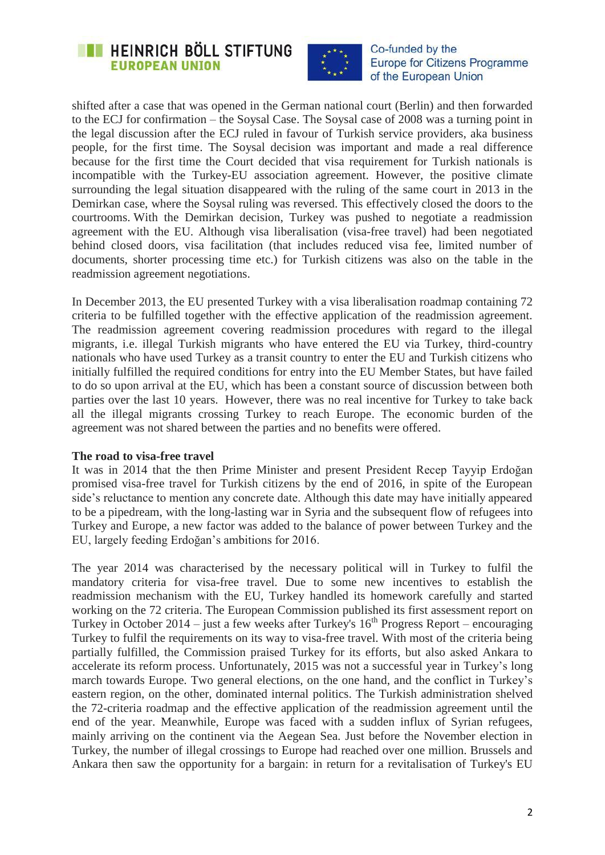



shifted after a case that was opened in the German national court (Berlin) and then forwarded to the ECJ for confirmation – the Soysal Case. The Soysal case of 2008 was a turning point in the legal discussion after the ECJ ruled in favour of Turkish service providers, aka business people, for the first time. The Soysal decision was important and made a real difference because for the first time the Court decided that visa requirement for Turkish nationals is incompatible with the Turkey-EU association agreement. However, the positive climate surrounding the legal situation disappeared with the ruling of the same court in 2013 in the Demirkan case, where the Soysal ruling was reversed. This effectively closed the doors to the courtrooms. With the Demirkan decision, Turkey was pushed to negotiate a readmission agreement with the EU. Although visa liberalisation (visa-free travel) had been negotiated behind closed doors, visa facilitation (that includes reduced visa fee, limited number of documents, shorter processing time etc.) for Turkish citizens was also on the table in the readmission agreement negotiations.

In December 2013, the EU presented Turkey with a visa liberalisation roadmap containing 72 criteria to be fulfilled together with the effective application of the readmission agreement. The readmission agreement covering readmission procedures with regard to the illegal migrants, i.e. illegal Turkish migrants who have entered the EU via Turkey, third-country nationals who have used Turkey as a transit country to enter the EU and Turkish citizens who initially fulfilled the required conditions for entry into the EU Member States, but have failed to do so upon arrival at the EU, which has been a constant source of discussion between both parties over the last 10 years. However, there was no real incentive for Turkey to take back all the illegal migrants crossing Turkey to reach Europe. The economic burden of the agreement was not shared between the parties and no benefits were offered.

#### **The road to visa-free travel**

It was in 2014 that the then Prime Minister and present President Recep Tayyip Erdoğan promised visa-free travel for Turkish citizens by the end of 2016, in spite of the European side's reluctance to mention any concrete date. Although this date may have initially appeared to be a pipedream, with the long-lasting war in Syria and the subsequent flow of refugees into Turkey and Europe, a new factor was added to the balance of power between Turkey and the EU, largely feeding Erdoğan's ambitions for 2016.

The year 2014 was characterised by the necessary political will in Turkey to fulfil the mandatory criteria for visa-free travel. Due to some new incentives to establish the readmission mechanism with the EU, Turkey handled its homework carefully and started working on the 72 criteria. The European Commission published its first assessment report on Turkey in October 2014 – just a few weeks after Turkey's 16<sup>th</sup> Progress Report – encouraging Turkey to fulfil the requirements on its way to visa-free travel. With most of the criteria being partially fulfilled, the Commission praised Turkey for its efforts, but also asked Ankara to accelerate its reform process. Unfortunately, 2015 was not a successful year in Turkey's long march towards Europe. Two general elections, on the one hand, and the conflict in Turkey's eastern region, on the other, dominated internal politics. The Turkish administration shelved the 72-criteria roadmap and the effective application of the readmission agreement until the end of the year. Meanwhile, Europe was faced with a sudden influx of Syrian refugees, mainly arriving on the continent via the Aegean Sea. Just before the November election in Turkey, the number of illegal crossings to Europe had reached over one million. Brussels and Ankara then saw the opportunity for a bargain: in return for a revitalisation of Turkey's EU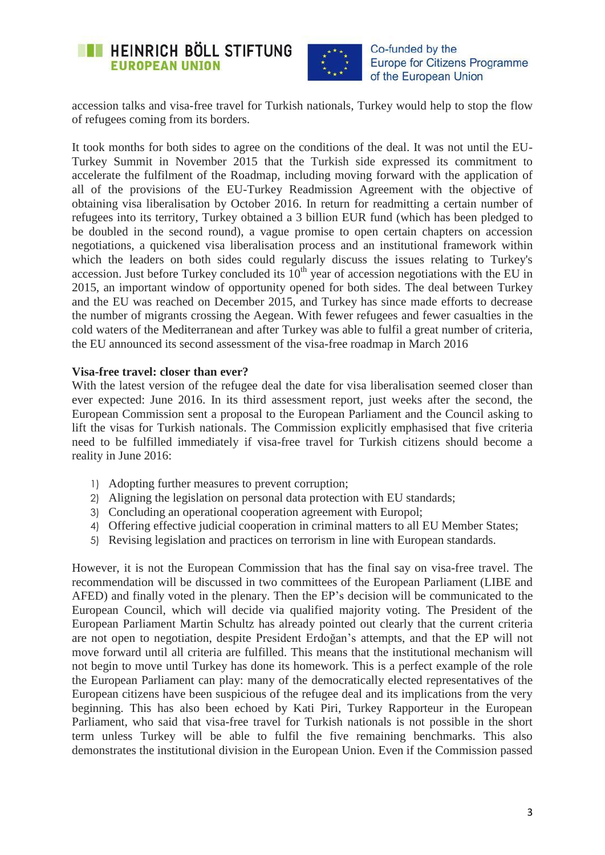



accession talks and visa-free travel for Turkish nationals, Turkey would help to stop the flow of refugees coming from its borders.

It took months for both sides to agree on the conditions of the deal. It was not until the EU-Turkey Summit in November 2015 that the Turkish side expressed its commitment to accelerate the fulfilment of the Roadmap, including moving forward with the application of all of the provisions of the EU-Turkey Readmission Agreement with the objective of obtaining visa liberalisation by October 2016. In return for readmitting a certain number of refugees into its territory, Turkey obtained a 3 billion EUR fund (which has been pledged to be doubled in the second round), a vague promise to open certain chapters on accession negotiations, a quickened visa liberalisation process and an institutional framework within which the leaders on both sides could regularly discuss the issues relating to Turkey's accession. Just before Turkey concluded its  $10<sup>th</sup>$  year of accession negotiations with the EU in 2015, an important window of opportunity opened for both sides. The deal between Turkey and the EU was reached on December 2015, and Turkey has since made efforts to decrease the number of migrants crossing the Aegean. With fewer refugees and fewer casualties in the cold waters of the Mediterranean and after Turkey was able to fulfil a great number of criteria, the EU announced its second assessment of the visa-free roadmap in March 2016

#### **Visa-free travel: closer than ever?**

With the latest version of the refugee deal the date for visa liberalisation seemed closer than ever expected: June 2016. In its third assessment report, just weeks after the second, the European Commission sent a proposal to the European Parliament and the Council asking to lift the visas for Turkish nationals. The Commission explicitly emphasised that five criteria need to be fulfilled immediately if visa-free travel for Turkish citizens should become a reality in June 2016:

- 1) Adopting further measures to prevent corruption;
- 2) Aligning the legislation on personal data protection with EU standards;
- 3) Concluding an operational cooperation agreement with Europol;
- 4) Offering effective judicial cooperation in criminal matters to all EU Member States;
- 5) Revising legislation and practices on terrorism in line with European standards.

However, it is not the European Commission that has the final say on visa-free travel. The recommendation will be discussed in two committees of the European Parliament (LIBE and AFED) and finally voted in the plenary. Then the EP's decision will be communicated to the European Council, which will decide via qualified majority voting. The President of the European Parliament Martin Schultz has already pointed out clearly that the current criteria are not open to negotiation, despite President Erdoğan's attempts, and that the EP will not move forward until all criteria are fulfilled. This means that the institutional mechanism will not begin to move until Turkey has done its homework. This is a perfect example of the role the European Parliament can play: many of the democratically elected representatives of the European citizens have been suspicious of the refugee deal and its implications from the very beginning. This has also been echoed by Kati Piri, Turkey Rapporteur in the European Parliament, who said that visa-free travel for Turkish nationals is not possible in the short term unless Turkey will be able to fulfil the five remaining benchmarks. This also demonstrates the institutional division in the European Union. Even if the Commission passed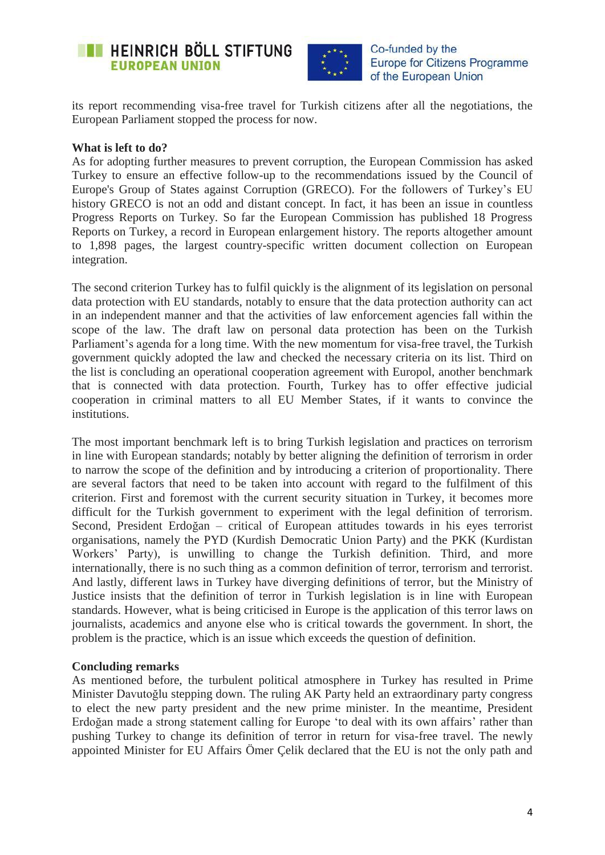



its report recommending visa-free travel for Turkish citizens after all the negotiations, the European Parliament stopped the process for now.

### **What is left to do?**

As for adopting further measures to prevent corruption, the European Commission has asked Turkey to ensure an effective follow-up to the recommendations issued by the Council of Europe's Group of States against Corruption (GRECO). For the followers of Turkey's EU history GRECO is not an odd and distant concept. In fact, it has been an issue in countless Progress Reports on Turkey. So far the European Commission has published 18 Progress Reports on Turkey, a record in European enlargement history. The reports altogether amount to 1,898 pages, the largest country-specific written document collection on European integration.

The second criterion Turkey has to fulfil quickly is the alignment of its legislation on personal data protection with EU standards, notably to ensure that the data protection authority can act in an independent manner and that the activities of law enforcement agencies fall within the scope of the law. The draft law on personal data protection has been on the Turkish Parliament's agenda for a long time. With the new momentum for visa-free travel, the Turkish government quickly adopted the law and checked the necessary criteria on its list. Third on the list is concluding an operational cooperation agreement with Europol, another benchmark that is connected with data protection. Fourth, Turkey has to offer effective judicial cooperation in criminal matters to all EU Member States, if it wants to convince the institutions.

The most important benchmark left is to bring Turkish legislation and practices on terrorism in line with European standards; notably by better aligning the definition of terrorism in order to narrow the scope of the definition and by introducing a criterion of proportionality. There are several factors that need to be taken into account with regard to the fulfilment of this criterion. First and foremost with the current security situation in Turkey, it becomes more difficult for the Turkish government to experiment with the legal definition of terrorism. Second, President Erdoğan – critical of European attitudes towards in his eyes terrorist organisations, namely the PYD (Kurdish Democratic Union Party) and the PKK (Kurdistan Workers' Party), is unwilling to change the Turkish definition. Third, and more internationally, there is no such thing as a common definition of terror, terrorism and terrorist. And lastly, different laws in Turkey have diverging definitions of terror, but the Ministry of Justice insists that the definition of terror in Turkish legislation is in line with European standards. However, what is being criticised in Europe is the application of this terror laws on journalists, academics and anyone else who is critical towards the government. In short, the problem is the practice, which is an issue which exceeds the question of definition.

#### **Concluding remarks**

As mentioned before, the turbulent political atmosphere in Turkey has resulted in Prime Minister Davutoğlu stepping down. The ruling AK Party held an extraordinary party congress to elect the new party president and the new prime minister. In the meantime, President Erdoğan made a strong statement calling for Europe 'to deal with its own affairs' rather than pushing Turkey to change its definition of terror in return for visa-free travel. The newly appointed Minister for EU Affairs Ömer Çelik declared that the EU is not the only path and